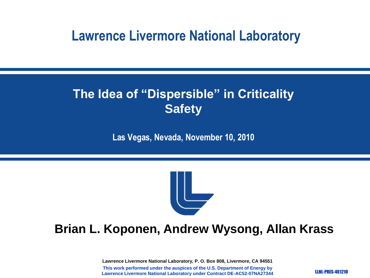#### **Lawrence Livermore National Laboratory**

#### **The Idea of "Dispersible" in Criticality Safety**

**Las Vegas, Nevada, November 10, 2010**



#### **Brian L. Koponen, Andrew Wysong, Allan Krass**

**Lawrence Livermore National Laboratory, P. O. Box 808, Livermore, CA 94551 This work performed under the auspices of the U.S. Department of Energy by Lawrence Livermore National Laboratory under Contract DE-AC52-07NA27344**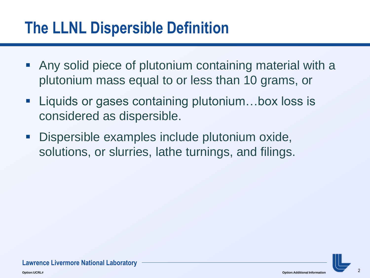# **The LLNL Dispersible Definition**

- Any solid piece of plutonium containing material with a plutonium mass equal to or less than 10 grams, or
- Liquids or gases containing plutonium...box loss is considered as dispersible.
- **Dispersible examples include plutonium oxide,** solutions, or slurries, lathe turnings, and filings.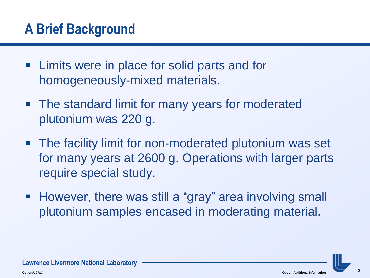### **A Brief Background**

- **EXTE:** Limits were in place for solid parts and for homogeneously-mixed materials.
- The standard limit for many years for moderated plutonium was 220 g.
- **The facility limit for non-moderated plutonium was set** for many years at 2600 g. Operations with larger parts require special study.
- However, there was still a "gray" area involving small plutonium samples encased in moderating material.



**Lawrence Livermore National Laboratory**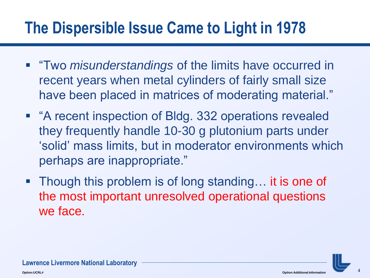# **The Dispersible Issue Came to Light in 1978**

- **The** *misunderstandings* of the limits have occurred in recent years when metal cylinders of fairly small size have been placed in matrices of moderating material."
- "A recent inspection of Bldg. 332 operations revealed they frequently handle 10-30 g plutonium parts under "solid" mass limits, but in moderator environments which perhaps are inappropriate."
- Though this problem is of long standing... it is one of the most important unresolved operational questions we face.

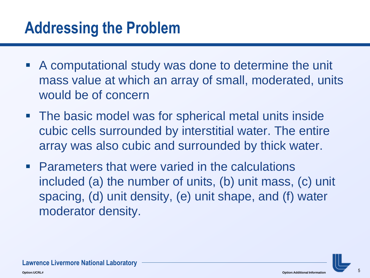## **Addressing the Problem**

- A computational study was done to determine the unit mass value at which an array of small, moderated, units would be of concern
- **The basic model was for spherical metal units inside** cubic cells surrounded by interstitial water. The entire array was also cubic and surrounded by thick water.
- **Parameters that were varied in the calculations** included (a) the number of units, (b) unit mass, (c) unit spacing, (d) unit density, (e) unit shape, and (f) water moderator density.

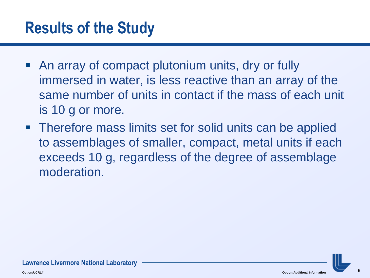# **Results of the Study**

- An array of compact plutonium units, dry or fully immersed in water, is less reactive than an array of the same number of units in contact if the mass of each unit is 10 g or more.
- **Therefore mass limits set for solid units can be applied** to assemblages of smaller, compact, metal units if each exceeds 10 g, regardless of the degree of assemblage moderation.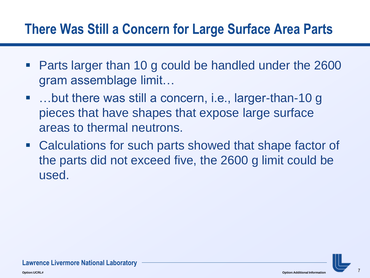#### **There Was Still a Concern for Large Surface Area Parts**

- Parts larger than 10 g could be handled under the 2600 gram assemblage limit…
- …but there was still a concern, i.e., larger-than-10 g pieces that have shapes that expose large surface areas to thermal neutrons.
- Calculations for such parts showed that shape factor of the parts did not exceed five, the 2600 g limit could be used.

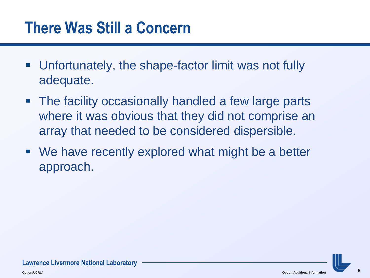## **There Was Still a Concern**

- Unfortunately, the shape-factor limit was not fully adequate.
- The facility occasionally handled a few large parts where it was obvious that they did not comprise an array that needed to be considered dispersible.
- We have recently explored what might be a better approach.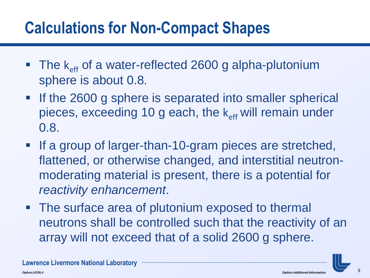# **Calculations for Non-Compact Shapes**

- $\blacksquare$  The  $k_{\text{eff}}$  of a water-reflected 2600 g alpha-plutonium sphere is about 0.8.
- If the 2600 g sphere is separated into smaller spherical pieces, exceeding 10 g each, the  $k_{eff}$  will remain under 0.8.
- If a group of larger-than-10-gram pieces are stretched, flattened, or otherwise changed, and interstitial neutronmoderating material is present, there is a potential for *reactivity enhancement*.
- The surface area of plutonium exposed to thermal neutrons shall be controlled such that the reactivity of an array will not exceed that of a solid 2600 g sphere.

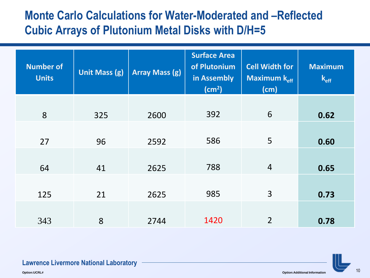#### **Monte Carlo Calculations for Water-Moderated and –Reflected Cubic Arrays of Plutonium Metal Disks with D/H=5**

| <b>Number of</b><br><b>Units</b> | <b>Unit Mass (g)</b> | <b>Array Mass (g)</b> | <b>Surface Area</b><br>of Plutonium<br>in Assembly<br>(cm <sup>2</sup> ) | <b>Cell Width for</b><br>Maximum $k_{\text{eff}}$<br>(cm) | <b>Maximum</b><br>$k_{\text{eff}}$ |
|----------------------------------|----------------------|-----------------------|--------------------------------------------------------------------------|-----------------------------------------------------------|------------------------------------|
| 8                                | 325                  | 2600                  | 392                                                                      | 6                                                         | 0.62                               |
| 27                               | 96                   | 2592                  | 586                                                                      | 5                                                         | 0.60                               |
| 64                               | 41                   | 2625                  | 788                                                                      | $\overline{4}$                                            | 0.65                               |
| 125                              | 21                   | 2625                  | 985                                                                      | $\overline{3}$                                            | 0.73                               |
| 343                              | 8                    | 2744                  | 1420                                                                     | $\overline{2}$                                            | 0.78                               |

#### **Lawrence Livermore National Laboratory**

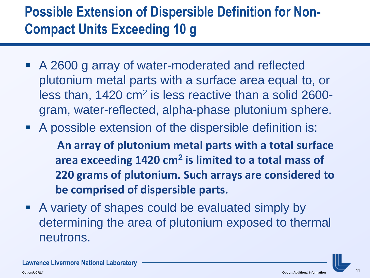## **Possible Extension of Dispersible Definition for Non-Compact Units Exceeding 10 g**

- A 2600 g array of water-moderated and reflected plutonium metal parts with a surface area equal to, or less than, 1420 cm<sup>2</sup> is less reactive than a solid 2600gram, water-reflected, alpha-phase plutonium sphere.
- A possible extension of the dispersible definition is:

**An array of plutonium metal parts with a total surface area exceeding 1420 cm<sup>2</sup> is limited to a total mass of 220 grams of plutonium. Such arrays are considered to be comprised of dispersible parts.** 

 A variety of shapes could be evaluated simply by determining the area of plutonium exposed to thermal neutrons.



**Lawrence Livermore National Laboratory**